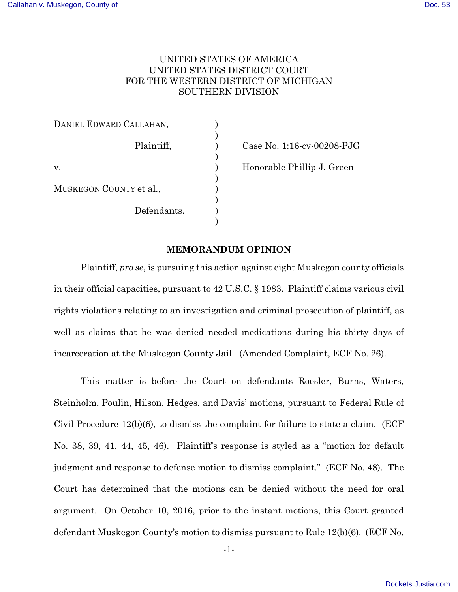# UNITED STATES OF AMERICA UNITED STATES DISTRICT COURT FOR THE WESTERN DISTRICT OF MICHIGAN SOUTHERN DIVISION

| DANIEL EDWARD CALLAHAN, |  |
|-------------------------|--|
| Plaintiff,              |  |
| V.                      |  |
| MUSKEGON COUNTY et al., |  |
| Defendants.             |  |
|                         |  |

Case No. 1:16-cv-00208-PJG

Honorable Phillip J. Green

# **MEMORANDUM OPINION**

Plaintiff, *pro se*, is pursuing this action against eight Muskegon county officials in their official capacities, pursuant to 42 U.S.C. § 1983. Plaintiff claims various civil rights violations relating to an investigation and criminal prosecution of plaintiff, as well as claims that he was denied needed medications during his thirty days of incarceration at the Muskegon County Jail. (Amended Complaint, ECF No. 26).

 This matter is before the Court on defendants Roesler, Burns, Waters, Steinholm, Poulin, Hilson, Hedges, and Davis' motions, pursuant to Federal Rule of Civil Procedure 12(b)(6), to dismiss the complaint for failure to state a claim. (ECF No. 38, 39, 41, 44, 45, 46). Plaintiff's response is styled as a "motion for default judgment and response to defense motion to dismiss complaint." (ECF No. 48). The Court has determined that the motions can be denied without the need for oral argument. On October 10, 2016, prior to the instant motions, this Court granted defendant Muskegon County's motion to dismiss pursuant to Rule 12(b)(6). (ECF No.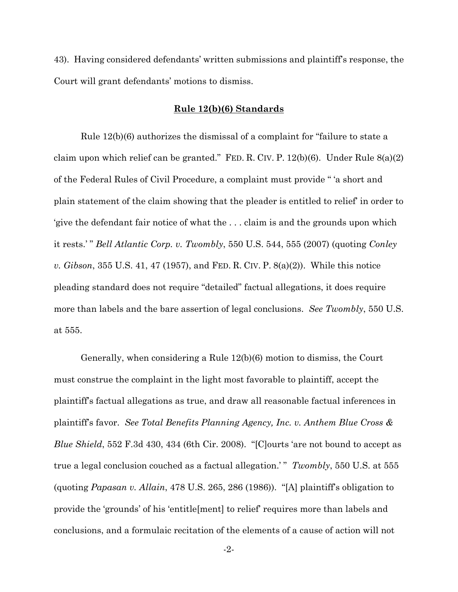43). Having considered defendants' written submissions and plaintiff's response, the Court will grant defendants' motions to dismiss.

### **Rule 12(b)(6) Standards**

 Rule 12(b)(6) authorizes the dismissal of a complaint for "failure to state a claim upon which relief can be granted." FED. R. CIV. P.  $12(b)(6)$ . Under Rule  $8(a)(2)$ of the Federal Rules of Civil Procedure, a complaint must provide " 'a short and plain statement of the claim showing that the pleader is entitled to relief' in order to 'give the defendant fair notice of what the . . . claim is and the grounds upon which it rests.' " *Bell Atlantic Corp. v. Twombly*, 550 U.S. 544, 555 (2007) (quoting *Conley v. Gibson*, 355 U.S. 41, 47 (1957), and FED. R. CIV. P. 8(a)(2)). While this notice pleading standard does not require "detailed" factual allegations, it does require more than labels and the bare assertion of legal conclusions. *See Twombly*, 550 U.S. at 555.

 Generally, when considering a Rule 12(b)(6) motion to dismiss, the Court must construe the complaint in the light most favorable to plaintiff, accept the plaintiff's factual allegations as true, and draw all reasonable factual inferences in plaintiff's favor. *See Total Benefits Planning Agency, Inc. v. Anthem Blue Cross & Blue Shield*, 552 F.3d 430, 434 (6th Cir. 2008). "[C]ourts 'are not bound to accept as true a legal conclusion couched as a factual allegation.'" *Twombly*, 550 U.S. at 555 (quoting *Papasan v. Allain*, 478 U.S. 265, 286 (1986)). "[A] plaintiff's obligation to provide the 'grounds' of his 'entitle[ment] to relief' requires more than labels and conclusions, and a formulaic recitation of the elements of a cause of action will not

-2-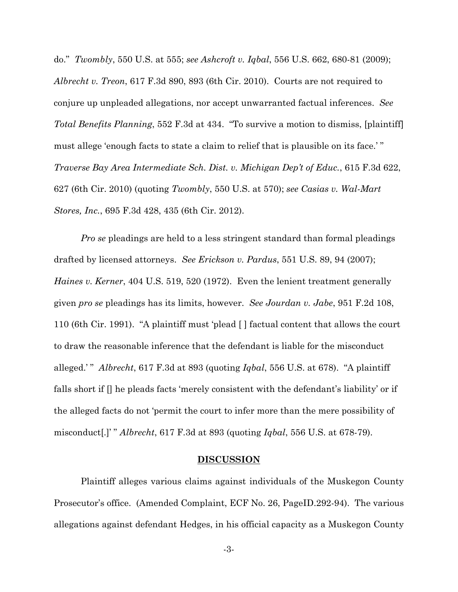do." *Twombly*, 550 U.S. at 555; *see Ashcroft v. Iqbal*, 556 U.S. 662, 680-81 (2009); *Albrecht v. Treon*, 617 F.3d 890, 893 (6th Cir. 2010). Courts are not required to conjure up unpleaded allegations, nor accept unwarranted factual inferences. *See Total Benefits Planning*, 552 F.3d at 434. "To survive a motion to dismiss, [plaintiff] must allege 'enough facts to state a claim to relief that is plausible on its face.' " *Traverse Bay Area Intermediate Sch. Dist. v. Michigan Dep't of Educ.*, 615 F.3d 622, 627 (6th Cir. 2010) (quoting *Twombly*, 550 U.S. at 570); *see Casias v. Wal-Mart Stores, Inc.*, 695 F.3d 428, 435 (6th Cir. 2012).

*Pro se* pleadings are held to a less stringent standard than formal pleadings drafted by licensed attorneys. *See Erickson v. Pardus*, 551 U.S. 89, 94 (2007); *Haines v. Kerner*, 404 U.S. 519, 520 (1972). Even the lenient treatment generally given *pro se* pleadings has its limits, however. *See Jourdan v. Jabe*, 951 F.2d 108, 110 (6th Cir. 1991). "A plaintiff must 'plead [ ] factual content that allows the court to draw the reasonable inference that the defendant is liable for the misconduct alleged.' " *Albrecht*, 617 F.3d at 893 (quoting *Iqbal*, 556 U.S. at 678). "A plaintiff falls short if [] he pleads facts 'merely consistent with the defendant's liability' or if the alleged facts do not 'permit the court to infer more than the mere possibility of misconduct[.]' " *Albrecht*, 617 F.3d at 893 (quoting *Iqbal*, 556 U.S. at 678-79).

# **DISCUSSION**

Plaintiff alleges various claims against individuals of the Muskegon County Prosecutor's office. (Amended Complaint, ECF No. 26, PageID.292-94). The various allegations against defendant Hedges, in his official capacity as a Muskegon County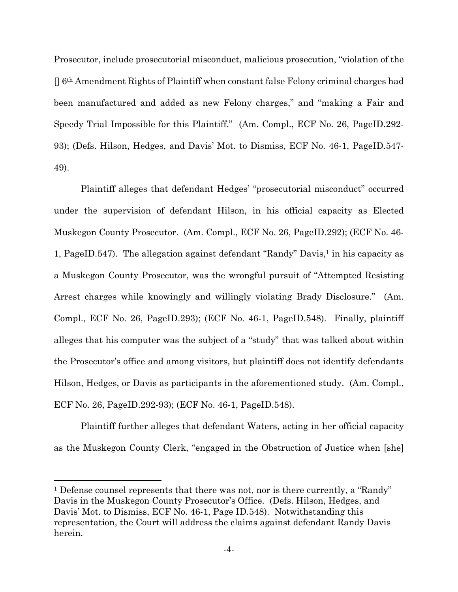Prosecutor, include prosecutorial misconduct, malicious prosecution, "violation of the [] 6th Amendment Rights of Plaintiff when constant false Felony criminal charges had been manufactured and added as new Felony charges," and "making a Fair and Speedy Trial Impossible for this Plaintiff." (Am. Compl., ECF No. 26, PageID.292- 93); (Defs. Hilson, Hedges, and Davis' Mot. to Dismiss, ECF No. 46-1, PageID.547- 49).

Plaintiff alleges that defendant Hedges' "prosecutorial misconduct" occurred under the supervision of defendant Hilson, in his official capacity as Elected Muskegon County Prosecutor. (Am. Compl., ECF No. 26, PageID.292); (ECF No. 46- 1, PageID.547). The allegation against defendant "Randy" Davis,1 in his capacity as a Muskegon County Prosecutor, was the wrongful pursuit of "Attempted Resisting Arrest charges while knowingly and willingly violating Brady Disclosure." (Am. Compl., ECF No. 26, PageID.293); (ECF No. 46-1, PageID.548). Finally, plaintiff alleges that his computer was the subject of a "study" that was talked about within the Prosecutor's office and among visitors, but plaintiff does not identify defendants Hilson, Hedges, or Davis as participants in the aforementioned study. (Am. Compl., ECF No. 26, PageID.292-93); (ECF No. 46-1, PageID.548).

Plaintiff further alleges that defendant Waters, acting in her official capacity as the Muskegon County Clerk, "engaged in the Obstruction of Justice when [she]

<sup>1</sup> Defense counsel represents that there was not, nor is there currently, a "Randy" Davis in the Muskegon County Prosecutor's Office. (Defs. Hilson, Hedges, and Davis' Mot. to Dismiss, ECF No. 46-1, Page ID.548). Notwithstanding this representation, the Court will address the claims against defendant Randy Davis herein.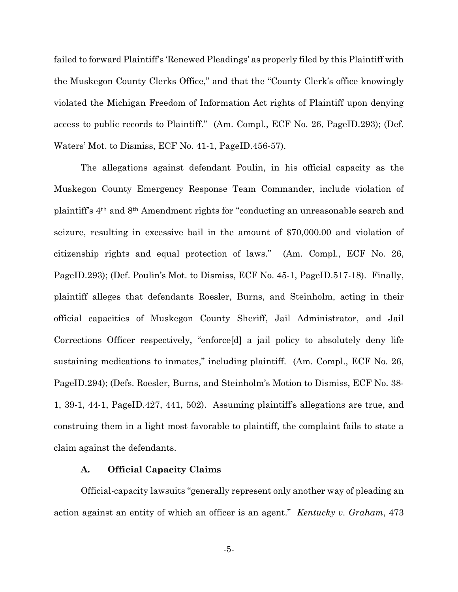failed to forward Plaintiff's 'Renewed Pleadings' as properly filed by this Plaintiff with the Muskegon County Clerks Office," and that the "County Clerk's office knowingly violated the Michigan Freedom of Information Act rights of Plaintiff upon denying access to public records to Plaintiff." (Am. Compl., ECF No. 26, PageID.293); (Def. Waters' Mot. to Dismiss, ECF No. 41-1, PageID.456-57).

The allegations against defendant Poulin, in his official capacity as the Muskegon County Emergency Response Team Commander, include violation of plaintiff's 4th and 8th Amendment rights for "conducting an unreasonable search and seizure, resulting in excessive bail in the amount of \$70,000.00 and violation of citizenship rights and equal protection of laws." (Am. Compl., ECF No. 26, PageID.293); (Def. Poulin's Mot. to Dismiss, ECF No. 45-1, PageID.517-18). Finally, plaintiff alleges that defendants Roesler, Burns, and Steinholm, acting in their official capacities of Muskegon County Sheriff, Jail Administrator, and Jail Corrections Officer respectively, "enforce[d] a jail policy to absolutely deny life sustaining medications to inmates," including plaintiff. (Am. Compl., ECF No. 26, PageID.294); (Defs. Roesler, Burns, and Steinholm's Motion to Dismiss, ECF No. 38- 1, 39-1, 44-1, PageID.427, 441, 502). Assuming plaintiff's allegations are true, and construing them in a light most favorable to plaintiff, the complaint fails to state a claim against the defendants.

### **A. Official Capacity Claims**

Official-capacity lawsuits "generally represent only another way of pleading an action against an entity of which an officer is an agent." *Kentucky v. Graham*, 473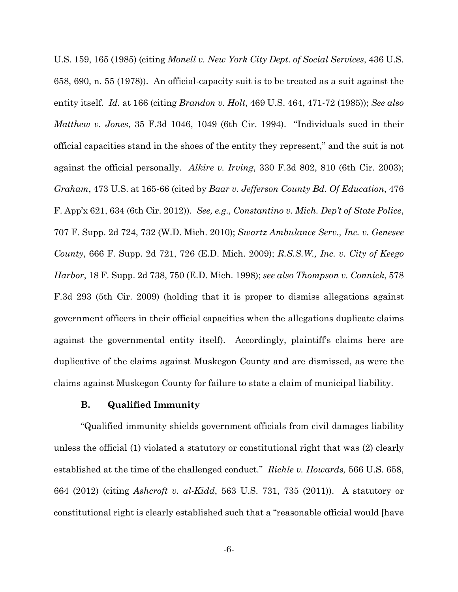U.S. 159, 165 (1985) (citing *Monell v. New York City Dept. of Social Services*, 436 U.S. 658, 690, n. 55 (1978)). An official-capacity suit is to be treated as a suit against the entity itself. *Id.* at 166 (citing *Brandon v. Holt*, 469 U.S. 464, 471-72 (1985)); *See also Matthew v. Jones*, 35 F.3d 1046, 1049 (6th Cir. 1994). "Individuals sued in their official capacities stand in the shoes of the entity they represent," and the suit is not against the official personally. *Alkire v. Irving*, 330 F.3d 802, 810 (6th Cir. 2003); *Graham*, 473 U.S. at 165-66 (cited by *Baar v. Jefferson County Bd. Of Education*, 476 F. App'x 621, 634 (6th Cir. 2012)). *See, e.g., Constantino v. Mich. Dep't of State Police*, 707 F. Supp. 2d 724, 732 (W.D. Mich. 2010); *Swartz Ambulance Serv., Inc. v. Genesee County*, 666 F. Supp. 2d 721, 726 (E.D. Mich. 2009); *R.S.S.W., Inc. v. City of Keego Harbor*, 18 F. Supp. 2d 738, 750 (E.D. Mich. 1998); *see also Thompson v. Connick*, 578 F.3d 293 (5th Cir. 2009) (holding that it is proper to dismiss allegations against government officers in their official capacities when the allegations duplicate claims against the governmental entity itself). Accordingly, plaintiff's claims here are duplicative of the claims against Muskegon County and are dismissed, as were the claims against Muskegon County for failure to state a claim of municipal liability.

#### **B. Qualified Immunity**

"Qualified immunity shields government officials from civil damages liability unless the official (1) violated a statutory or constitutional right that was (2) clearly established at the time of the challenged conduct." *Richle v. Howards,* 566 U.S. 658, 664 (2012) (citing *Ashcroft v. al-Kidd*, 563 U.S. 731, 735 (2011)). A statutory or constitutional right is clearly established such that a "reasonable official would [have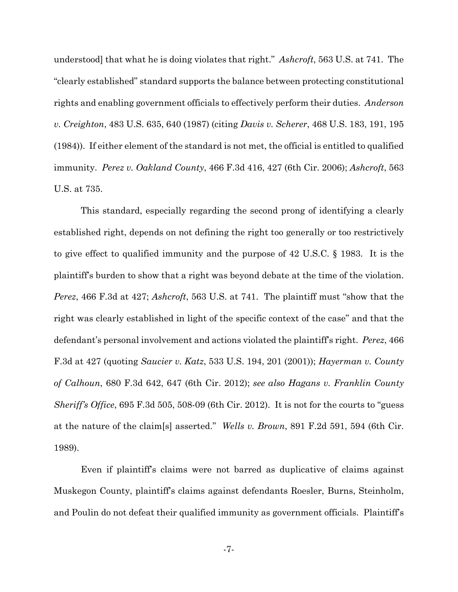understood] that what he is doing violates that right." *Ashcroft*, 563 U.S. at 741. The "clearly established" standard supports the balance between protecting constitutional rights and enabling government officials to effectively perform their duties. *Anderson v. Creighton*, 483 U.S. 635, 640 (1987) (citing *Davis v. Scherer*, 468 U.S. 183, 191, 195 (1984)). If either element of the standard is not met, the official is entitled to qualified immunity. *Perez v. Oakland County*, 466 F.3d 416, 427 (6th Cir. 2006); *Ashcroft*, 563 U.S. at 735.

This standard, especially regarding the second prong of identifying a clearly established right, depends on not defining the right too generally or too restrictively to give effect to qualified immunity and the purpose of 42 U.S.C. § 1983. It is the plaintiff's burden to show that a right was beyond debate at the time of the violation. *Perez*, 466 F.3d at 427; *Ashcroft*, 563 U.S. at 741. The plaintiff must "show that the right was clearly established in light of the specific context of the case" and that the defendant's personal involvement and actions violated the plaintiff's right. *Perez*, 466 F.3d at 427 (quoting *Saucier v. Katz*, 533 U.S. 194, 201 (2001)); *Hayerman v. County of Calhoun*, 680 F.3d 642, 647 (6th Cir. 2012); *see also Hagans v. Franklin County Sheriff's Office*, 695 F.3d 505, 508-09 (6th Cir. 2012). It is not for the courts to "guess at the nature of the claim[s] asserted." *Wells v. Brown*, 891 F.2d 591, 594 (6th Cir. 1989).

Even if plaintiff's claims were not barred as duplicative of claims against Muskegon County, plaintiff's claims against defendants Roesler, Burns, Steinholm, and Poulin do not defeat their qualified immunity as government officials. Plaintiff's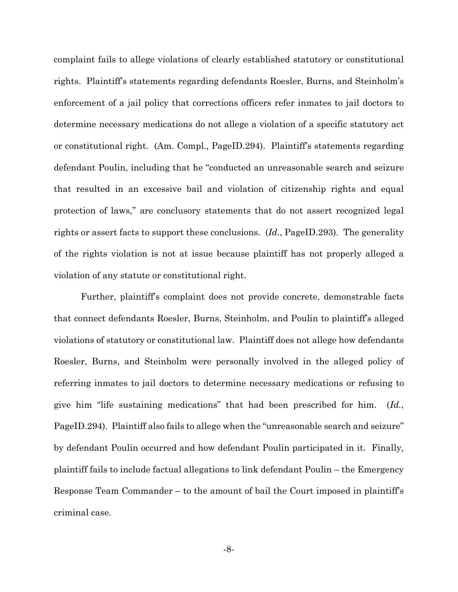complaint fails to allege violations of clearly established statutory or constitutional rights. Plaintiff's statements regarding defendants Roesler, Burns, and Steinholm's enforcement of a jail policy that corrections officers refer inmates to jail doctors to determine necessary medications do not allege a violation of a specific statutory act or constitutional right. (Am. Compl., PageID.294). Plaintiff's statements regarding defendant Poulin, including that he "conducted an unreasonable search and seizure that resulted in an excessive bail and violation of citizenship rights and equal protection of laws," are conclusory statements that do not assert recognized legal rights or assert facts to support these conclusions. (*Id.*, PageID.293). The generality of the rights violation is not at issue because plaintiff has not properly alleged a violation of any statute or constitutional right.

Further, plaintiff's complaint does not provide concrete, demonstrable facts that connect defendants Roesler, Burns, Steinholm, and Poulin to plaintiff's alleged violations of statutory or constitutional law. Plaintiff does not allege how defendants Roesler, Burns, and Steinholm were personally involved in the alleged policy of referring inmates to jail doctors to determine necessary medications or refusing to give him "life sustaining medications" that had been prescribed for him. (*Id.*, PageID.294). Plaintiff also fails to allege when the "unreasonable search and seizure" by defendant Poulin occurred and how defendant Poulin participated in it. Finally, plaintiff fails to include factual allegations to link defendant Poulin – the Emergency Response Team Commander – to the amount of bail the Court imposed in plaintiff's criminal case.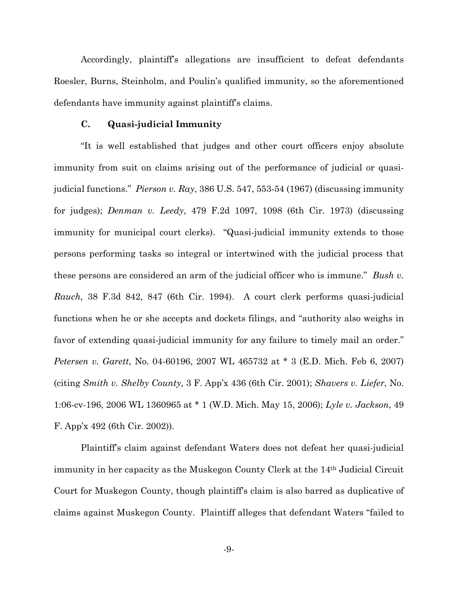Accordingly, plaintiff's allegations are insufficient to defeat defendants Roesler, Burns, Steinholm, and Poulin's qualified immunity, so the aforementioned defendants have immunity against plaintiff's claims.

# **C. Quasi-judicial Immunity**

"It is well established that judges and other court officers enjoy absolute immunity from suit on claims arising out of the performance of judicial or quasijudicial functions." *Pierson v. Ray*, 386 U.S. 547, 553-54 (1967) (discussing immunity for judges); *Denman v. Leedy*, 479 F.2d 1097, 1098 (6th Cir. 1973) (discussing immunity for municipal court clerks). "Quasi-judicial immunity extends to those persons performing tasks so integral or intertwined with the judicial process that these persons are considered an arm of the judicial officer who is immune." *Bush v. Rauch,* 38 F.3d 842, 847 (6th Cir. 1994). A court clerk performs quasi-judicial functions when he or she accepts and dockets filings, and "authority also weighs in favor of extending quasi-judicial immunity for any failure to timely mail an order." *Petersen v. Garett*, No. 04-60196, 2007 WL 465732 at \* 3 (E.D. Mich. Feb 6, 2007) (citing *Smith v. Shelby County*, 3 F. App'x 436 (6th Cir. 2001); *Shavers v. Liefer*, No. 1:06-cv-196, 2006 WL 1360965 at \* 1 (W.D. Mich. May 15, 2006); *Lyle v. Jackson*, 49 F. App'x 492 (6th Cir. 2002)).

Plaintiff's claim against defendant Waters does not defeat her quasi-judicial immunity in her capacity as the Muskegon County Clerk at the 14th Judicial Circuit Court for Muskegon County, though plaintiff's claim is also barred as duplicative of claims against Muskegon County. Plaintiff alleges that defendant Waters "failed to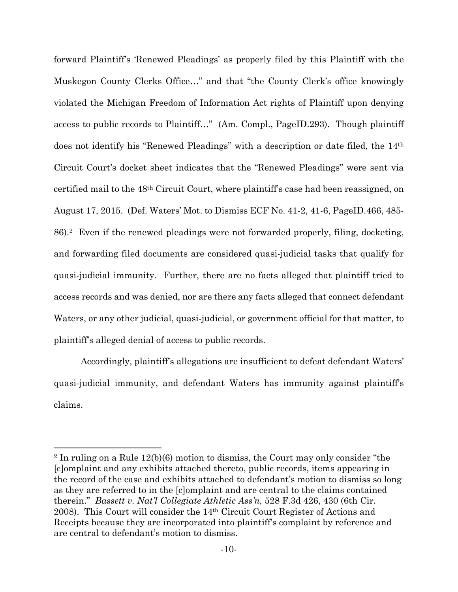forward Plaintiff's 'Renewed Pleadings' as properly filed by this Plaintiff with the Muskegon County Clerks Office…" and that "the County Clerk's office knowingly violated the Michigan Freedom of Information Act rights of Plaintiff upon denying access to public records to Plaintiff…" (Am. Compl., PageID.293). Though plaintiff does not identify his "Renewed Pleadings" with a description or date filed, the 14th Circuit Court's docket sheet indicates that the "Renewed Pleadings" were sent via certified mail to the 48th Circuit Court, where plaintiff's case had been reassigned, on August 17, 2015. (Def. Waters' Mot. to Dismiss ECF No. 41-2, 41-6, PageID.466, 485- 86).2 Even if the renewed pleadings were not forwarded properly, filing, docketing, and forwarding filed documents are considered quasi-judicial tasks that qualify for quasi-judicial immunity. Further, there are no facts alleged that plaintiff tried to access records and was denied, nor are there any facts alleged that connect defendant Waters, or any other judicial, quasi-judicial, or government official for that matter, to plaintiff's alleged denial of access to public records.

Accordingly, plaintiff's allegations are insufficient to defeat defendant Waters' quasi-judicial immunity, and defendant Waters has immunity against plaintiff's claims.

<sup>2</sup> In ruling on a Rule 12(b)(6) motion to dismiss, the Court may only consider "the [c]omplaint and any exhibits attached thereto, public records, items appearing in the record of the case and exhibits attached to defendant's motion to dismiss so long as they are referred to in the [c]omplaint and are central to the claims contained therein." *Bassett v. Nat'l Collegiate Athletic Ass'n*, 528 F.3d 426, 430 (6th Cir. 2008). This Court will consider the 14th Circuit Court Register of Actions and Receipts because they are incorporated into plaintiff's complaint by reference and are central to defendant's motion to dismiss.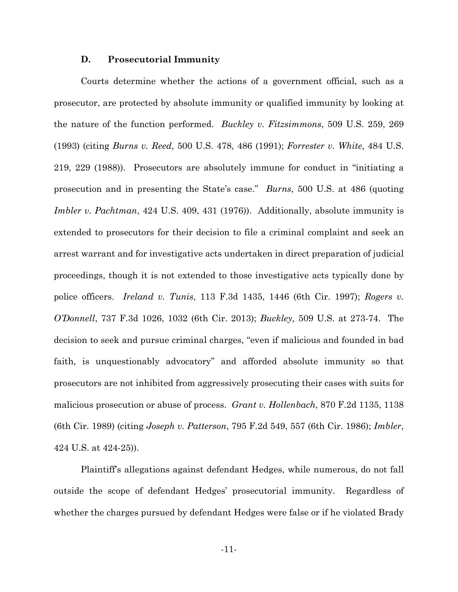#### **D. Prosecutorial Immunity**

Courts determine whether the actions of a government official, such as a prosecutor, are protected by absolute immunity or qualified immunity by looking at the nature of the function performed. *Buckley v. Fitzsimmons*, 509 U.S. 259, 269 (1993) (citing *Burns v. Reed*, 500 U.S. 478, 486 (1991); *Forrester v. White*, 484 U.S. 219, 229 (1988)). Prosecutors are absolutely immune for conduct in "initiating a prosecution and in presenting the State's case." *Burns*, 500 U.S. at 486 (quoting *Imbler v. Pachtman*, 424 U.S. 409, 431 (1976)). Additionally, absolute immunity is extended to prosecutors for their decision to file a criminal complaint and seek an arrest warrant and for investigative acts undertaken in direct preparation of judicial proceedings, though it is not extended to those investigative acts typically done by police officers. *Ireland v. Tunis*, 113 F.3d 1435, 1446 (6th Cir. 1997); *Rogers v. O'Donnell*, 737 F.3d 1026, 1032 (6th Cir. 2013); *Buckley,* 509 U.S. at 273-74. The decision to seek and pursue criminal charges, "even if malicious and founded in bad faith, is unquestionably advocatory" and afforded absolute immunity so that prosecutors are not inhibited from aggressively prosecuting their cases with suits for malicious prosecution or abuse of process. *Grant v. Hollenbach*, 870 F.2d 1135, 1138 (6th Cir. 1989) (citing *Joseph v. Patterson*, 795 F.2d 549, 557 (6th Cir. 1986); *Imbler*, 424 U.S. at 424-25)).

Plaintiff's allegations against defendant Hedges, while numerous, do not fall outside the scope of defendant Hedges' prosecutorial immunity. Regardless of whether the charges pursued by defendant Hedges were false or if he violated Brady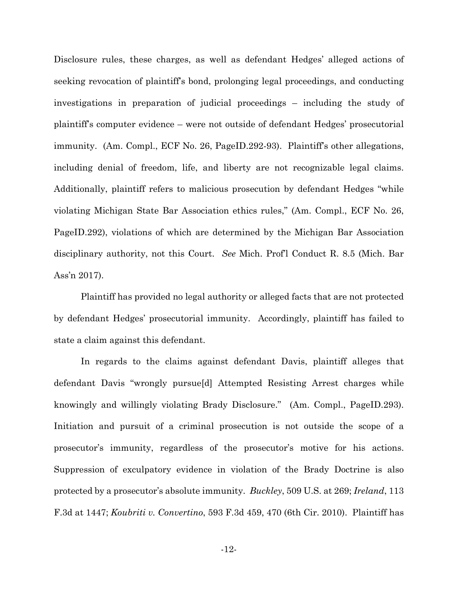Disclosure rules, these charges, as well as defendant Hedges' alleged actions of seeking revocation of plaintiff's bond, prolonging legal proceedings, and conducting investigations in preparation of judicial proceedings – including the study of plaintiff's computer evidence – were not outside of defendant Hedges' prosecutorial immunity. (Am. Compl., ECF No. 26, PageID.292-93). Plaintiff's other allegations, including denial of freedom, life, and liberty are not recognizable legal claims. Additionally, plaintiff refers to malicious prosecution by defendant Hedges "while violating Michigan State Bar Association ethics rules," (Am. Compl., ECF No. 26, PageID.292), violations of which are determined by the Michigan Bar Association disciplinary authority, not this Court. *See* Mich. Prof'l Conduct R. 8.5 (Mich. Bar Ass'n 2017).

Plaintiff has provided no legal authority or alleged facts that are not protected by defendant Hedges' prosecutorial immunity. Accordingly, plaintiff has failed to state a claim against this defendant.

In regards to the claims against defendant Davis, plaintiff alleges that defendant Davis "wrongly pursue[d] Attempted Resisting Arrest charges while knowingly and willingly violating Brady Disclosure." (Am. Compl., PageID.293). Initiation and pursuit of a criminal prosecution is not outside the scope of a prosecutor's immunity, regardless of the prosecutor's motive for his actions. Suppression of exculpatory evidence in violation of the Brady Doctrine is also protected by a prosecutor's absolute immunity. *Buckley*, 509 U.S. at 269; *Ireland*, 113 F.3d at 1447; *Koubriti v. Convertino*, 593 F.3d 459, 470 (6th Cir. 2010). Plaintiff has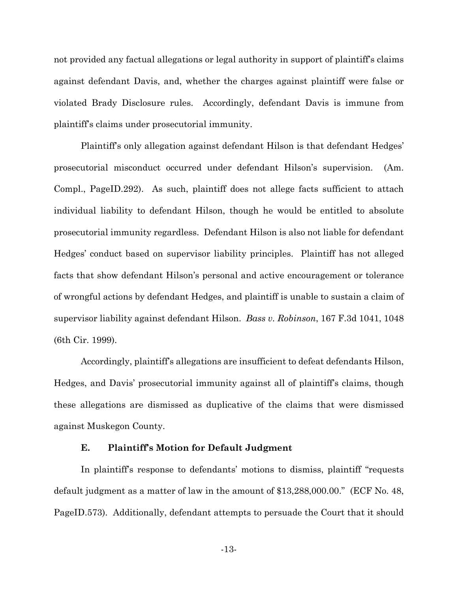not provided any factual allegations or legal authority in support of plaintiff's claims against defendant Davis, and, whether the charges against plaintiff were false or violated Brady Disclosure rules. Accordingly, defendant Davis is immune from plaintiff's claims under prosecutorial immunity.

Plaintiff's only allegation against defendant Hilson is that defendant Hedges' prosecutorial misconduct occurred under defendant Hilson's supervision. (Am. Compl., PageID.292). As such, plaintiff does not allege facts sufficient to attach individual liability to defendant Hilson, though he would be entitled to absolute prosecutorial immunity regardless. Defendant Hilson is also not liable for defendant Hedges' conduct based on supervisor liability principles. Plaintiff has not alleged facts that show defendant Hilson's personal and active encouragement or tolerance of wrongful actions by defendant Hedges, and plaintiff is unable to sustain a claim of supervisor liability against defendant Hilson. *Bass v. Robinson*, 167 F.3d 1041, 1048 (6th Cir. 1999).

Accordingly, plaintiff's allegations are insufficient to defeat defendants Hilson, Hedges, and Davis' prosecutorial immunity against all of plaintiff's claims, though these allegations are dismissed as duplicative of the claims that were dismissed against Muskegon County.

## **E. Plaintiff's Motion for Default Judgment**

In plaintiff's response to defendants' motions to dismiss, plaintiff "requests default judgment as a matter of law in the amount of \$13,288,000.00." (ECF No. 48, PageID.573). Additionally, defendant attempts to persuade the Court that it should